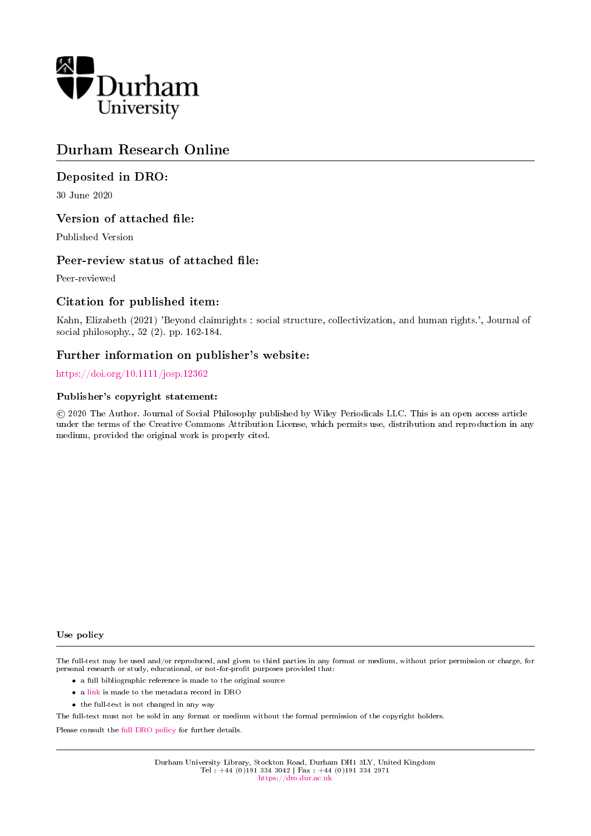

# Durham Research Online

## Deposited in DRO:

30 June 2020

## Version of attached file:

Published Version

## Peer-review status of attached file:

Peer-reviewed

## Citation for published item:

Kahn, Elizabeth (2021) 'Beyond claimrights : social structure, collectivization, and human rights.', Journal of social philosophy., 52 (2). pp. 162-184.

## Further information on publisher's website:

## <https://doi.org/10.1111/josp.12362>

## Publisher's copyright statement:

 c 2020 The Author. Journal of Social Philosophy published by Wiley Periodicals LLC. This is an open access article under the terms of the Creative Commons Attribution License, which permits use, distribution and reproduction in any medium, provided the original work is properly cited.

### Use policy

The full-text may be used and/or reproduced, and given to third parties in any format or medium, without prior permission or charge, for personal research or study, educational, or not-for-profit purposes provided that:

- a full bibliographic reference is made to the original source
- a [link](http://dro.dur.ac.uk/31172/) is made to the metadata record in DRO
- the full-text is not changed in any way

The full-text must not be sold in any format or medium without the formal permission of the copyright holders.

Please consult the [full DRO policy](https://dro.dur.ac.uk/policies/usepolicy.pdf) for further details.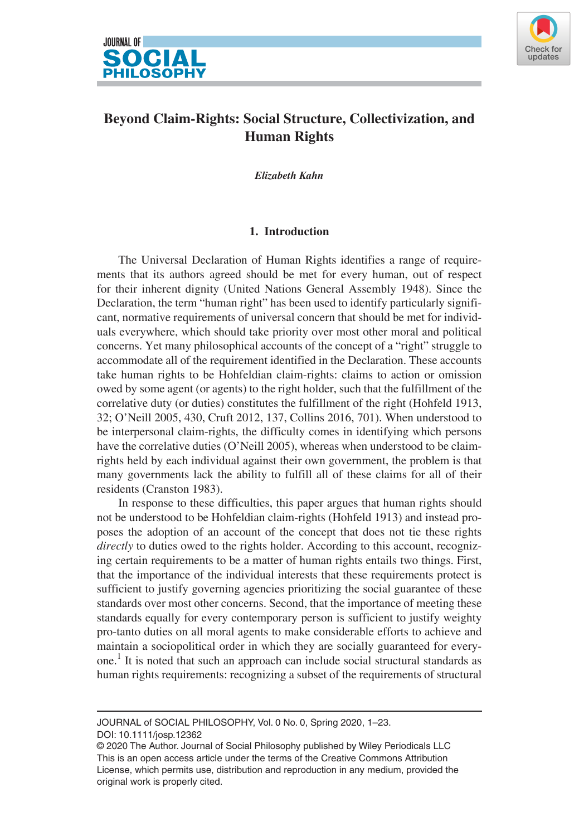



## **Beyond Claim-Rights: Social Structure, Collectivization, and Human Rights**

*Elizabeth Kahn*

## **1. Introduction**

The Universal Declaration of Human Rights identifies a range of requirements that its authors agreed should be met for every human, out of respect for their inherent dignity (United Nations General Assembly 1948). Since the Declaration, the term "human right" has been used to identify particularly significant, normative requirements of universal concern that should be met for individuals everywhere, which should take priority over most other moral and political concerns. Yet many philosophical accounts of the concept of a "right" struggle to accommodate all of the requirement identified in the Declaration. These accounts take human rights to be Hohfeldian claim-rights: claims to action or omission owed by some agent (or agents) to the right holder, such that the fulfillment of the correlative duty (or duties) constitutes the fulfillment of the right (Hohfeld 1913, 32; O'Neill 2005, 430, Cruft 2012, 137, Collins 2016, 701). When understood to be interpersonal claim-rights, the difficulty comes in identifying which persons have the correlative duties (O'Neill 2005), whereas when understood to be claimrights held by each individual against their own government, the problem is that many governments lack the ability to fulfill all of these claims for all of their residents (Cranston 1983).

In response to these difficulties, this paper argues that human rights should not be understood to be Hohfeldian claim-rights (Hohfeld 1913) and instead proposes the adoption of an account of the concept that does not tie these rights *directly* to duties owed to the rights holder. According to this account, recognizing certain requirements to be a matter of human rights entails two things. First, that the importance of the individual interests that these requirements protect is sufficient to justify governing agencies prioritizing the social guarantee of these standards over most other concerns. Second, that the importance of meeting these standards equally for every contemporary person is sufficient to justify weighty pro-tanto duties on all moral agents to make considerable efforts to achieve and maintain a sociopolitical order in which they are socially guaranteed for everyone.<sup>1</sup> It is noted that such an approach can include social structural standards as human rights requirements: recognizing a subset of the requirements of structural

DOI: 10.1111/josp.12362 JOURNAL of SOCIAL PHILOSOPHY, Vol. 0 No. 0, Spring 2020, 1–23.

<sup>© 2020</sup> The Author. Journal of Social Philosophy published by Wiley Periodicals LLC This is an open access article under the terms of the [Creative Commons Attribution](http://creativecommons.org/licenses/by/4.0/)  License, which permits use, distribution and reproduction in any medium, provided the original work is properly cited.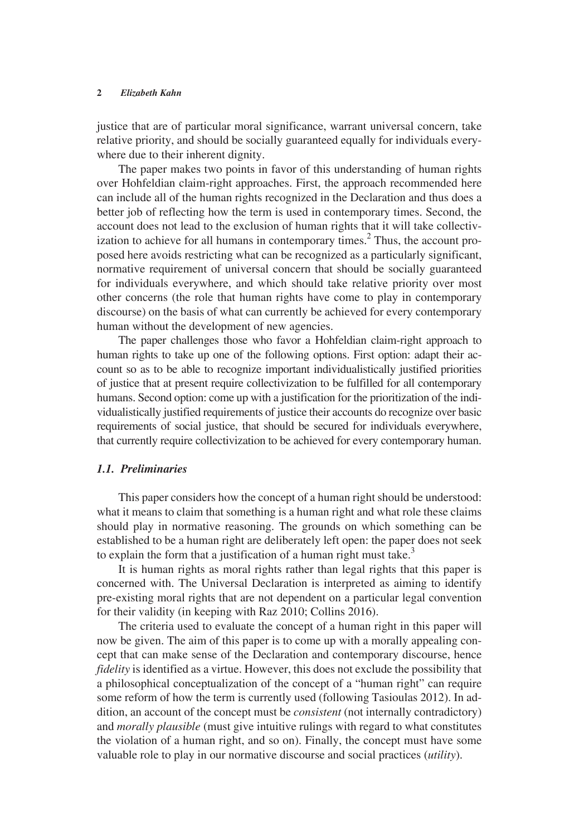justice that are of particular moral significance, warrant universal concern, take relative priority, and should be socially guaranteed equally for individuals everywhere due to their inherent dignity.

The paper makes two points in favor of this understanding of human rights over Hohfeldian claim-right approaches. First, the approach recommended here can include all of the human rights recognized in the Declaration and thus does a better job of reflecting how the term is used in contemporary times. Second, the account does not lead to the exclusion of human rights that it will take collectivization to achieve for all humans in contemporary times.<sup>2</sup> Thus, the account proposed here avoids restricting what can be recognized as a particularly significant, normative requirement of universal concern that should be socially guaranteed for individuals everywhere, and which should take relative priority over most other concerns (the role that human rights have come to play in contemporary discourse) on the basis of what can currently be achieved for every contemporary human without the development of new agencies.

The paper challenges those who favor a Hohfeldian claim-right approach to human rights to take up one of the following options. First option: adapt their account so as to be able to recognize important individualistically justified priorities of justice that at present require collectivization to be fulfilled for all contemporary humans. Second option: come up with a justification for the prioritization of the individualistically justified requirements of justice their accounts do recognize over basic requirements of social justice, that should be secured for individuals everywhere, that currently require collectivization to be achieved for every contemporary human.

## *1.1. Preliminaries*

This paper considers how the concept of a human right should be understood: what it means to claim that something is a human right and what role these claims should play in normative reasoning. The grounds on which something can be established to be a human right are deliberately left open: the paper does not seek to explain the form that a justification of a human right must take.<sup>3</sup>

It is human rights as moral rights rather than legal rights that this paper is concerned with. The Universal Declaration is interpreted as aiming to identify pre-existing moral rights that are not dependent on a particular legal convention for their validity (in keeping with Raz 2010; Collins 2016).

The criteria used to evaluate the concept of a human right in this paper will now be given. The aim of this paper is to come up with a morally appealing concept that can make sense of the Declaration and contemporary discourse, hence *fidelity* is identified as a virtue. However, this does not exclude the possibility that a philosophical conceptualization of the concept of a "human right" can require some reform of how the term is currently used (following Tasioulas 2012). In addition, an account of the concept must be *consistent* (not internally contradictory) and *morally plausible* (must give intuitive rulings with regard to what constitutes the violation of a human right, and so on). Finally, the concept must have some valuable role to play in our normative discourse and social practices (*utility*).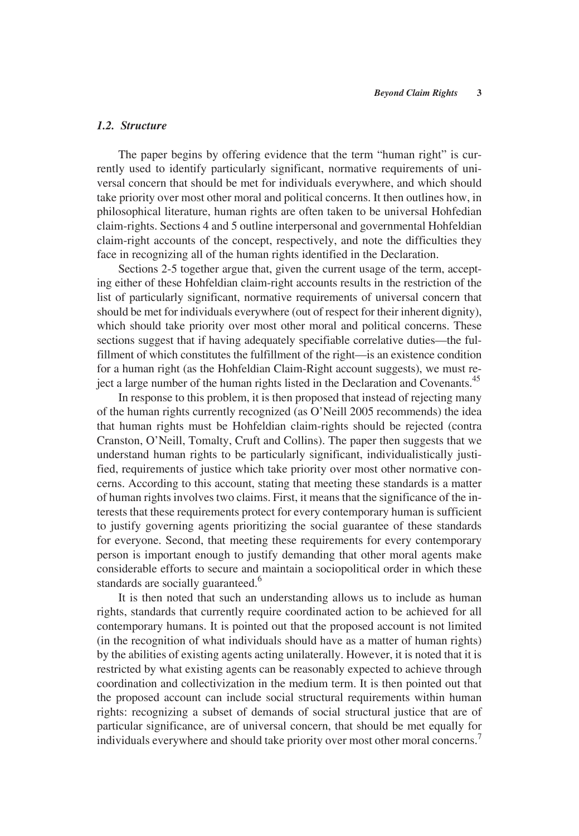## *1.2. Structure*

The paper begins by offering evidence that the term "human right" is currently used to identify particularly significant, normative requirements of universal concern that should be met for individuals everywhere, and which should take priority over most other moral and political concerns. It then outlines how, in philosophical literature, human rights are often taken to be universal Hohfedian claim-rights. Sections 4 and 5 outline interpersonal and governmental Hohfeldian claim-right accounts of the concept, respectively, and note the difficulties they face in recognizing all of the human rights identified in the Declaration.

Sections 2-5 together argue that, given the current usage of the term, accepting either of these Hohfeldian claim-right accounts results in the restriction of the list of particularly significant, normative requirements of universal concern that should be met for individuals everywhere (out of respect for their inherent dignity), which should take priority over most other moral and political concerns. These sections suggest that if having adequately specifiable correlative duties—the fulfillment of which constitutes the fulfillment of the right—is an existence condition for a human right (as the Hohfeldian Claim-Right account suggests), we must reject a large number of the human rights listed in the Declaration and Covenants.<sup>45</sup>

In response to this problem, it is then proposed that instead of rejecting many of the human rights currently recognized (as O'Neill 2005 recommends) the idea that human rights must be Hohfeldian claim-rights should be rejected (contra Cranston, O'Neill, Tomalty, Cruft and Collins). The paper then suggests that we understand human rights to be particularly significant, individualistically justified, requirements of justice which take priority over most other normative concerns. According to this account, stating that meeting these standards is a matter of human rights involves two claims. First, it means that the significance of the interests that these requirements protect for every contemporary human is sufficient to justify governing agents prioritizing the social guarantee of these standards for everyone. Second, that meeting these requirements for every contemporary person is important enough to justify demanding that other moral agents make considerable efforts to secure and maintain a sociopolitical order in which these standards are socially guaranteed.<sup>6</sup>

It is then noted that such an understanding allows us to include as human rights, standards that currently require coordinated action to be achieved for all contemporary humans. It is pointed out that the proposed account is not limited (in the recognition of what individuals should have as a matter of human rights) by the abilities of existing agents acting unilaterally. However, it is noted that it is restricted by what existing agents can be reasonably expected to achieve through coordination and collectivization in the medium term. It is then pointed out that the proposed account can include social structural requirements within human rights: recognizing a subset of demands of social structural justice that are of particular significance, are of universal concern, that should be met equally for individuals everywhere and should take priority over most other moral concerns.<sup>7</sup>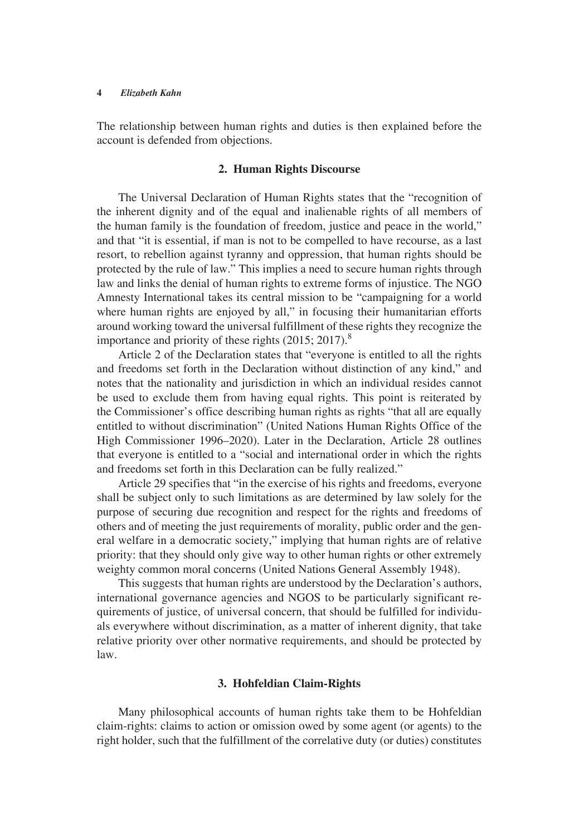The relationship between human rights and duties is then explained before the account is defended from objections.

### **2. Human Rights Discourse**

The Universal Declaration of Human Rights states that the "recognition of the inherent dignity and of the equal and inalienable rights of all members of the human family is the foundation of freedom, justice and peace in the world," and that "it is essential, if man is not to be compelled to have recourse, as a last resort, to rebellion against tyranny and oppression, that human rights should be protected by the rule of law." This implies a need to secure human rights through law and links the denial of human rights to extreme forms of injustice. The NGO Amnesty International takes its central mission to be "campaigning for a world where human rights are enjoyed by all," in focusing their humanitarian efforts around working toward the universal fulfillment of these rights they recognize the importance and priority of these rights  $(2015; 2017)^8$ 

Article 2 of the Declaration states that "everyone is entitled to all the rights and freedoms set forth in the Declaration without distinction of any kind," and notes that the nationality and jurisdiction in which an individual resides cannot be used to exclude them from having equal rights. This point is reiterated by the Commissioner's office describing human rights as rights "that all are equally entitled to without discrimination" (United Nations Human Rights Office of the High Commissioner 1996–2020). Later in the Declaration, Article 28 outlines that everyone is entitled to a "social and international order in which the rights and freedoms set forth in this Declaration can be fully realized."

Article 29 specifies that "in the exercise of his rights and freedoms, everyone shall be subject only to such limitations as are determined by law solely for the purpose of securing due recognition and respect for the rights and freedoms of others and of meeting the just requirements of morality, public order and the general welfare in a democratic society," implying that human rights are of relative priority: that they should only give way to other human rights or other extremely weighty common moral concerns (United Nations General Assembly 1948).

This suggests that human rights are understood by the Declaration's authors, international governance agencies and NGOS to be particularly significant requirements of justice, of universal concern, that should be fulfilled for individuals everywhere without discrimination, as a matter of inherent dignity, that take relative priority over other normative requirements, and should be protected by law.

## **3. Hohfeldian Claim-Rights**

Many philosophical accounts of human rights take them to be Hohfeldian claim-rights: claims to action or omission owed by some agent (or agents) to the right holder, such that the fulfillment of the correlative duty (or duties) constitutes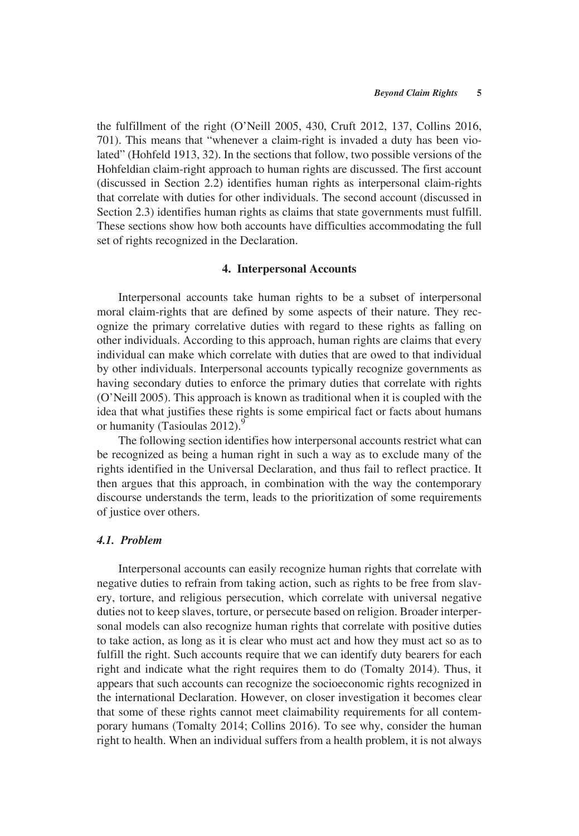the fulfillment of the right (O'Neill 2005, 430, Cruft 2012, 137, Collins 2016, 701). This means that "whenever a claim-right is invaded a duty has been violated" (Hohfeld 1913, 32). In the sections that follow, two possible versions of the Hohfeldian claim-right approach to human rights are discussed. The first account (discussed in Section 2.2) identifies human rights as interpersonal claim-rights that correlate with duties for other individuals. The second account (discussed in Section 2.3) identifies human rights as claims that state governments must fulfill. These sections show how both accounts have difficulties accommodating the full set of rights recognized in the Declaration.

#### **4. Interpersonal Accounts**

Interpersonal accounts take human rights to be a subset of interpersonal moral claim-rights that are defined by some aspects of their nature. They recognize the primary correlative duties with regard to these rights as falling on other individuals. According to this approach, human rights are claims that every individual can make which correlate with duties that are owed to that individual by other individuals. Interpersonal accounts typically recognize governments as having secondary duties to enforce the primary duties that correlate with rights (O'Neill 2005). This approach is known as traditional when it is coupled with the idea that what justifies these rights is some empirical fact or facts about humans or humanity (Tasioulas  $2012$ ).<sup>9</sup>

The following section identifies how interpersonal accounts restrict what can be recognized as being a human right in such a way as to exclude many of the rights identified in the Universal Declaration, and thus fail to reflect practice. It then argues that this approach, in combination with the way the contemporary discourse understands the term, leads to the prioritization of some requirements of justice over others.

## *4.1. Problem*

Interpersonal accounts can easily recognize human rights that correlate with negative duties to refrain from taking action, such as rights to be free from slavery, torture, and religious persecution, which correlate with universal negative duties not to keep slaves, torture, or persecute based on religion. Broader interpersonal models can also recognize human rights that correlate with positive duties to take action, as long as it is clear who must act and how they must act so as to fulfill the right. Such accounts require that we can identify duty bearers for each right and indicate what the right requires them to do (Tomalty 2014). Thus, it appears that such accounts can recognize the socioeconomic rights recognized in the international Declaration. However, on closer investigation it becomes clear that some of these rights cannot meet claimability requirements for all contemporary humans (Tomalty 2014; Collins 2016). To see why, consider the human right to health. When an individual suffers from a health problem, it is not always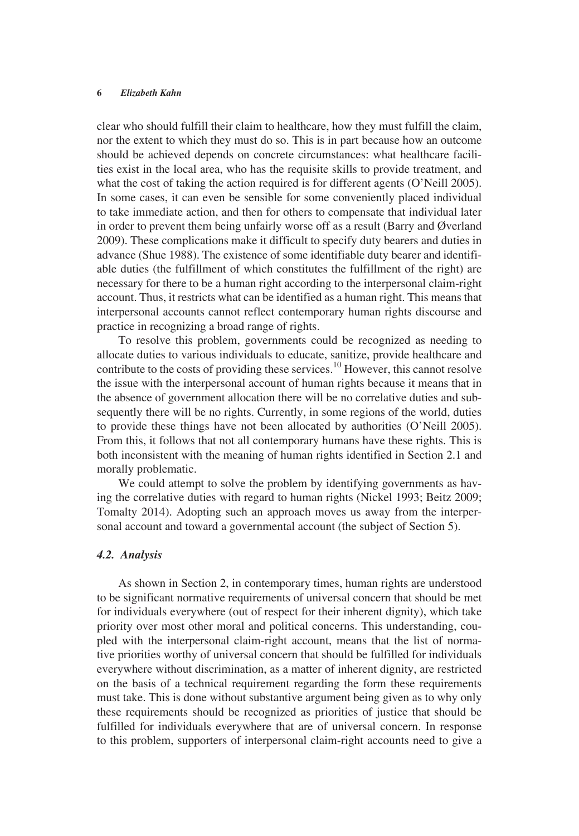clear who should fulfill their claim to healthcare, how they must fulfill the claim, nor the extent to which they must do so. This is in part because how an outcome should be achieved depends on concrete circumstances: what healthcare facilities exist in the local area, who has the requisite skills to provide treatment, and what the cost of taking the action required is for different agents (O'Neill 2005). In some cases, it can even be sensible for some conveniently placed individual to take immediate action, and then for others to compensate that individual later in order to prevent them being unfairly worse off as a result (Barry and Øverland 2009). These complications make it difficult to specify duty bearers and duties in advance (Shue 1988). The existence of some identifiable duty bearer and identifiable duties (the fulfillment of which constitutes the fulfillment of the right) are necessary for there to be a human right according to the interpersonal claim-right account. Thus, it restricts what can be identified as a human right. This means that interpersonal accounts cannot reflect contemporary human rights discourse and practice in recognizing a broad range of rights.

To resolve this problem, governments could be recognized as needing to allocate duties to various individuals to educate, sanitize, provide healthcare and contribute to the costs of providing these services.<sup>10</sup> However, this cannot resolve the issue with the interpersonal account of human rights because it means that in the absence of government allocation there will be no correlative duties and subsequently there will be no rights. Currently, in some regions of the world, duties to provide these things have not been allocated by authorities (O'Neill 2005). From this, it follows that not all contemporary humans have these rights. This is both inconsistent with the meaning of human rights identified in Section 2.1 and morally problematic.

We could attempt to solve the problem by identifying governments as having the correlative duties with regard to human rights (Nickel 1993; Beitz 2009; Tomalty 2014). Adopting such an approach moves us away from the interpersonal account and toward a governmental account (the subject of Section 5).

#### *4.2. Analysis*

As shown in Section 2, in contemporary times, human rights are understood to be significant normative requirements of universal concern that should be met for individuals everywhere (out of respect for their inherent dignity), which take priority over most other moral and political concerns. This understanding, coupled with the interpersonal claim-right account, means that the list of normative priorities worthy of universal concern that should be fulfilled for individuals everywhere without discrimination, as a matter of inherent dignity, are restricted on the basis of a technical requirement regarding the form these requirements must take. This is done without substantive argument being given as to why only these requirements should be recognized as priorities of justice that should be fulfilled for individuals everywhere that are of universal concern. In response to this problem, supporters of interpersonal claim-right accounts need to give a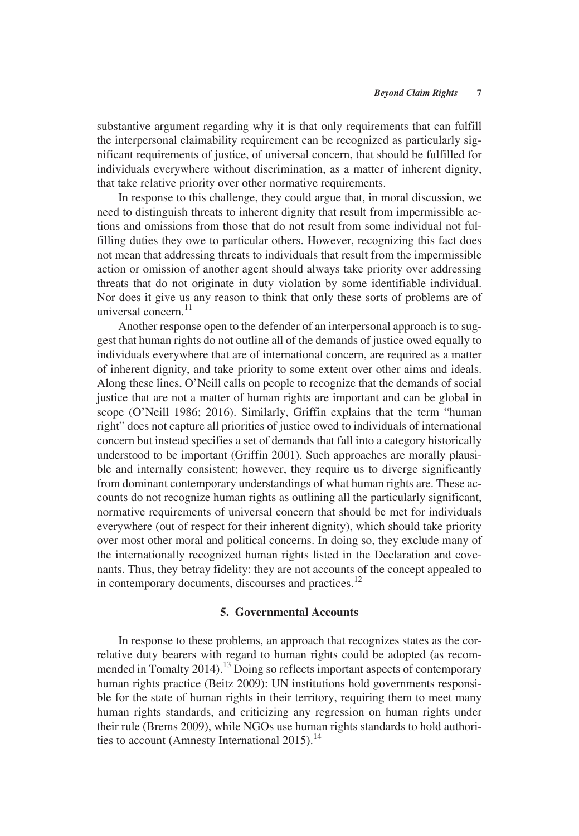substantive argument regarding why it is that only requirements that can fulfill the interpersonal claimability requirement can be recognized as particularly significant requirements of justice, of universal concern, that should be fulfilled for individuals everywhere without discrimination, as a matter of inherent dignity, that take relative priority over other normative requirements.

In response to this challenge, they could argue that, in moral discussion, we need to distinguish threats to inherent dignity that result from impermissible actions and omissions from those that do not result from some individual not fulfilling duties they owe to particular others. However, recognizing this fact does not mean that addressing threats to individuals that result from the impermissible action or omission of another agent should always take priority over addressing threats that do not originate in duty violation by some identifiable individual. Nor does it give us any reason to think that only these sorts of problems are of universal concern.<sup>11</sup>

Another response open to the defender of an interpersonal approach is to suggest that human rights do not outline all of the demands of justice owed equally to individuals everywhere that are of international concern, are required as a matter of inherent dignity, and take priority to some extent over other aims and ideals. Along these lines, O'Neill calls on people to recognize that the demands of social justice that are not a matter of human rights are important and can be global in scope (O'Neill 1986; 2016). Similarly, Griffin explains that the term "human right" does not capture all priorities of justice owed to individuals of international concern but instead specifies a set of demands that fall into a category historically understood to be important (Griffin 2001). Such approaches are morally plausible and internally consistent; however, they require us to diverge significantly from dominant contemporary understandings of what human rights are. These accounts do not recognize human rights as outlining all the particularly significant, normative requirements of universal concern that should be met for individuals everywhere (out of respect for their inherent dignity), which should take priority over most other moral and political concerns. In doing so, they exclude many of the internationally recognized human rights listed in the Declaration and covenants. Thus, they betray fidelity: they are not accounts of the concept appealed to in contemporary documents, discourses and practices.<sup>12</sup>

### **5. Governmental Accounts**

In response to these problems, an approach that recognizes states as the correlative duty bearers with regard to human rights could be adopted (as recommended in Tomalty 2014).<sup>13</sup> Doing so reflects important aspects of contemporary human rights practice (Beitz 2009): UN institutions hold governments responsible for the state of human rights in their territory, requiring them to meet many human rights standards, and criticizing any regression on human rights under their rule (Brems 2009), while NGOs use human rights standards to hold authorities to account (Amnesty International 2015).<sup>14</sup>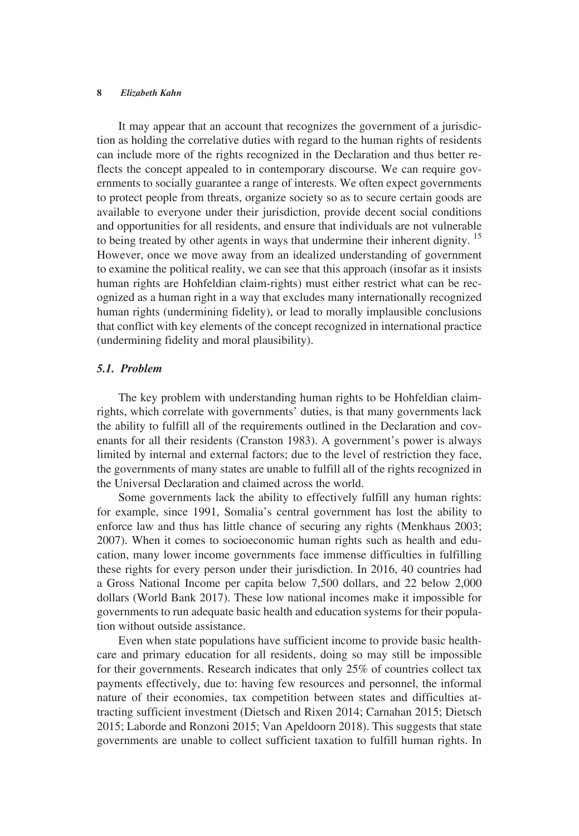It may appear that an account that recognizes the government of a jurisdiction as holding the correlative duties with regard to the human rights of residents can include more of the rights recognized in the Declaration and thus better reflects the concept appealed to in contemporary discourse. We can require governments to socially guarantee a range of interests. We often expect governments to protect people from threats, organize society so as to secure certain goods are available to everyone under their jurisdiction, provide decent social conditions and opportunities for all residents, and ensure that individuals are not vulnerable to being treated by other agents in ways that undermine their inherent dignity.<sup>15</sup> However, once we move away from an idealized understanding of government to examine the political reality, we can see that this approach (insofar as it insists human rights are Hohfeldian claim-rights) must either restrict what can be recognized as a human right in a way that excludes many internationally recognized human rights (undermining fidelity), or lead to morally implausible conclusions that conflict with key elements of the concept recognized in international practice (undermining fidelity and moral plausibility).

### *5.1. Problem*

The key problem with understanding human rights to be Hohfeldian claimrights, which correlate with governments' duties, is that many governments lack the ability to fulfill all of the requirements outlined in the Declaration and covenants for all their residents (Cranston 1983). A government's power is always limited by internal and external factors; due to the level of restriction they face, the governments of many states are unable to fulfill all of the rights recognized in the Universal Declaration and claimed across the world.

Some governments lack the ability to effectively fulfill any human rights: for example, since 1991, Somalia's central government has lost the ability to enforce law and thus has little chance of securing any rights (Menkhaus 2003; 2007). When it comes to socioeconomic human rights such as health and education, many lower income governments face immense difficulties in fulfilling these rights for every person under their jurisdiction. In 2016, 40 countries had a Gross National Income per capita below 7,500 dollars, and 22 below 2,000 dollars (World Bank 2017). These low national incomes make it impossible for governments to run adequate basic health and education systems for their population without outside assistance.

Even when state populations have sufficient income to provide basic healthcare and primary education for all residents, doing so may still be impossible for their governments. Research indicates that only 25% of countries collect tax payments effectively, due to: having few resources and personnel, the informal nature of their economies, tax competition between states and difficulties attracting sufficient investment (Dietsch and Rixen 2014; Carnahan 2015; Dietsch 2015; Laborde and Ronzoni 2015; Van Apeldoorn 2018). This suggests that state governments are unable to collect sufficient taxation to fulfill human rights. In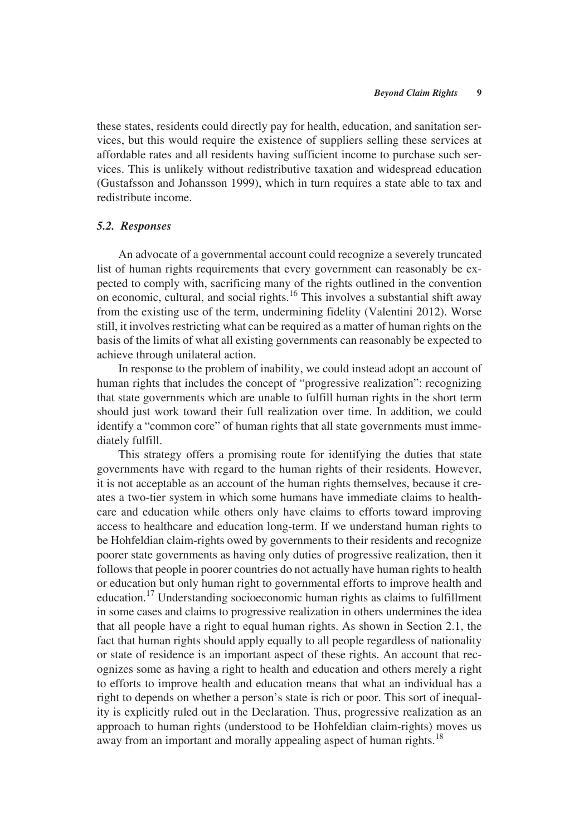these states, residents could directly pay for health, education, and sanitation services, but this would require the existence of suppliers selling these services at affordable rates and all residents having sufficient income to purchase such services. This is unlikely without redistributive taxation and widespread education (Gustafsson and Johansson 1999), which in turn requires a state able to tax and redistribute income.

#### *5.2. Responses*

An advocate of a governmental account could recognize a severely truncated list of human rights requirements that every government can reasonably be expected to comply with, sacrificing many of the rights outlined in the convention on economic, cultural, and social rights.<sup>16</sup> This involves a substantial shift away from the existing use of the term, undermining fidelity (Valentini 2012). Worse still, it involves restricting what can be required as a matter of human rights on the basis of the limits of what all existing governments can reasonably be expected to achieve through unilateral action.

In response to the problem of inability, we could instead adopt an account of human rights that includes the concept of "progressive realization": recognizing that state governments which are unable to fulfill human rights in the short term should just work toward their full realization over time. In addition, we could identify a "common core" of human rights that all state governments must immediately fulfill.

This strategy offers a promising route for identifying the duties that state governments have with regard to the human rights of their residents. However, it is not acceptable as an account of the human rights themselves, because it creates a two-tier system in which some humans have immediate claims to healthcare and education while others only have claims to efforts toward improving access to healthcare and education long-term. If we understand human rights to be Hohfeldian claim-rights owed by governments to their residents and recognize poorer state governments as having only duties of progressive realization, then it follows that people in poorer countries do not actually have human rights to health or education but only human right to governmental efforts to improve health and education.17 Understanding socioeconomic human rights as claims to fulfillment in some cases and claims to progressive realization in others undermines the idea that all people have a right to equal human rights. As shown in Section 2.1, the fact that human rights should apply equally to all people regardless of nationality or state of residence is an important aspect of these rights. An account that recognizes some as having a right to health and education and others merely a right to efforts to improve health and education means that what an individual has a right to depends on whether a person's state is rich or poor. This sort of inequality is explicitly ruled out in the Declaration. Thus, progressive realization as an approach to human rights (understood to be Hohfeldian claim-rights) moves us away from an important and morally appealing aspect of human rights.<sup>18</sup>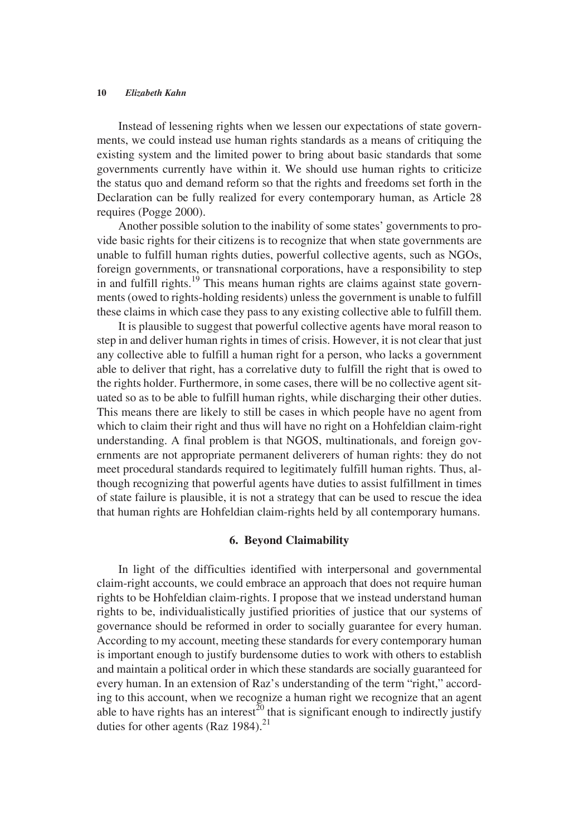Instead of lessening rights when we lessen our expectations of state governments, we could instead use human rights standards as a means of critiquing the existing system and the limited power to bring about basic standards that some governments currently have within it. We should use human rights to criticize the status quo and demand reform so that the rights and freedoms set forth in the Declaration can be fully realized for every contemporary human, as Article 28 requires (Pogge 2000).

Another possible solution to the inability of some states' governments to provide basic rights for their citizens is to recognize that when state governments are unable to fulfill human rights duties, powerful collective agents, such as NGOs, foreign governments, or transnational corporations, have a responsibility to step in and fulfill rights.<sup>19</sup> This means human rights are claims against state governments (owed to rights-holding residents) unless the government is unable to fulfill these claims in which case they pass to any existing collective able to fulfill them.

It is plausible to suggest that powerful collective agents have moral reason to step in and deliver human rights in times of crisis. However, it is not clear that just any collective able to fulfill a human right for a person, who lacks a government able to deliver that right, has a correlative duty to fulfill the right that is owed to the rights holder. Furthermore, in some cases, there will be no collective agent situated so as to be able to fulfill human rights, while discharging their other duties. This means there are likely to still be cases in which people have no agent from which to claim their right and thus will have no right on a Hohfeldian claim-right understanding. A final problem is that NGOS, multinationals, and foreign governments are not appropriate permanent deliverers of human rights: they do not meet procedural standards required to legitimately fulfill human rights. Thus, although recognizing that powerful agents have duties to assist fulfillment in times of state failure is plausible, it is not a strategy that can be used to rescue the idea that human rights are Hohfeldian claim-rights held by all contemporary humans.

### **6. Beyond Claimability**

In light of the difficulties identified with interpersonal and governmental claim-right accounts, we could embrace an approach that does not require human rights to be Hohfeldian claim-rights. I propose that we instead understand human rights to be, individualistically justified priorities of justice that our systems of governance should be reformed in order to socially guarantee for every human. According to my account, meeting these standards for every contemporary human is important enough to justify burdensome duties to work with others to establish and maintain a political order in which these standards are socially guaranteed for every human. In an extension of Raz's understanding of the term "right," according to this account, when we recognize a human right we recognize that an agent able to have rights has an interest<sup>20</sup> that is significant enough to indirectly justify duties for other agents (Raz  $1984$ ).<sup>21</sup>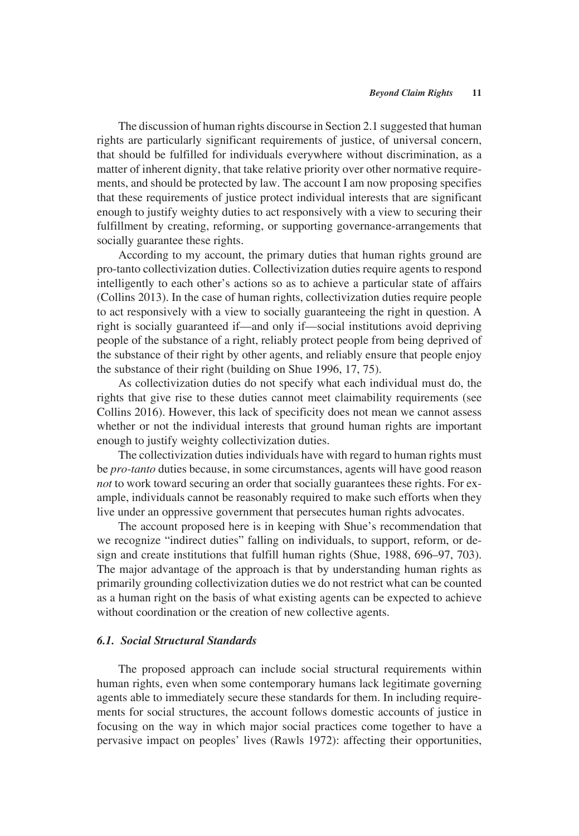The discussion of human rights discourse in Section 2.1 suggested that human rights are particularly significant requirements of justice, of universal concern, that should be fulfilled for individuals everywhere without discrimination, as a matter of inherent dignity, that take relative priority over other normative requirements, and should be protected by law. The account I am now proposing specifies that these requirements of justice protect individual interests that are significant enough to justify weighty duties to act responsively with a view to securing their fulfillment by creating, reforming, or supporting governance-arrangements that socially guarantee these rights.

According to my account, the primary duties that human rights ground are pro-tanto collectivization duties. Collectivization duties require agents to respond intelligently to each other's actions so as to achieve a particular state of affairs (Collins 2013). In the case of human rights, collectivization duties require people to act responsively with a view to socially guaranteeing the right in question. A right is socially guaranteed if—and only if—social institutions avoid depriving people of the substance of a right, reliably protect people from being deprived of the substance of their right by other agents, and reliably ensure that people enjoy the substance of their right (building on Shue 1996, 17, 75).

As collectivization duties do not specify what each individual must do, the rights that give rise to these duties cannot meet claimability requirements (see Collins 2016). However, this lack of specificity does not mean we cannot assess whether or not the individual interests that ground human rights are important enough to justify weighty collectivization duties.

The collectivization duties individuals have with regard to human rights must be *pro-tanto* duties because, in some circumstances, agents will have good reason *not* to work toward securing an order that socially guarantees these rights. For example, individuals cannot be reasonably required to make such efforts when they live under an oppressive government that persecutes human rights advocates.

The account proposed here is in keeping with Shue's recommendation that we recognize "indirect duties" falling on individuals, to support, reform, or design and create institutions that fulfill human rights (Shue, 1988, 696–97, 703). The major advantage of the approach is that by understanding human rights as primarily grounding collectivization duties we do not restrict what can be counted as a human right on the basis of what existing agents can be expected to achieve without coordination or the creation of new collective agents.

## *6.1. Social Structural Standards*

The proposed approach can include social structural requirements within human rights, even when some contemporary humans lack legitimate governing agents able to immediately secure these standards for them. In including requirements for social structures, the account follows domestic accounts of justice in focusing on the way in which major social practices come together to have a pervasive impact on peoples' lives (Rawls 1972): affecting their opportunities,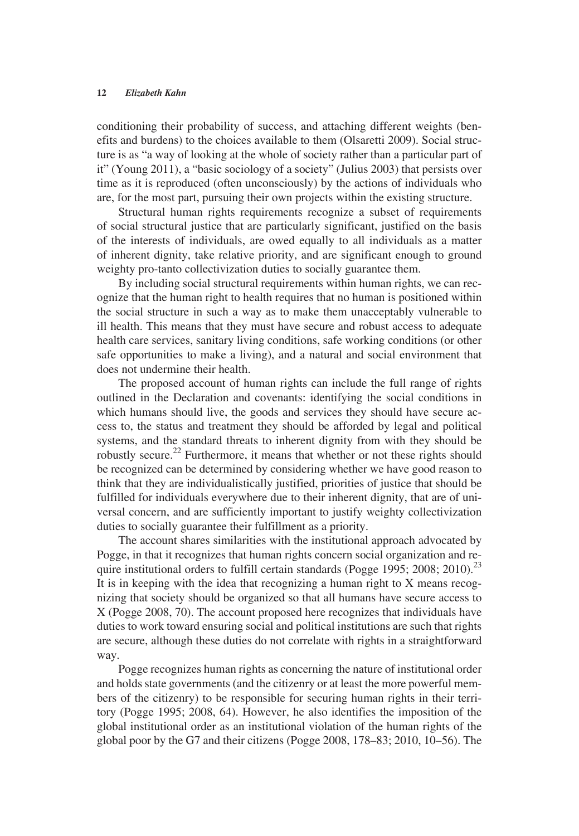conditioning their probability of success, and attaching different weights (benefits and burdens) to the choices available to them (Olsaretti 2009). Social structure is as "a way of looking at the whole of society rather than a particular part of it" (Young 2011), a "basic sociology of a society" (Julius 2003) that persists over time as it is reproduced (often unconsciously) by the actions of individuals who are, for the most part, pursuing their own projects within the existing structure.

Structural human rights requirements recognize a subset of requirements of social structural justice that are particularly significant, justified on the basis of the interests of individuals, are owed equally to all individuals as a matter of inherent dignity, take relative priority, and are significant enough to ground weighty pro-tanto collectivization duties to socially guarantee them.

By including social structural requirements within human rights, we can recognize that the human right to health requires that no human is positioned within the social structure in such a way as to make them unacceptably vulnerable to ill health. This means that they must have secure and robust access to adequate health care services, sanitary living conditions, safe working conditions (or other safe opportunities to make a living), and a natural and social environment that does not undermine their health.

The proposed account of human rights can include the full range of rights outlined in the Declaration and covenants: identifying the social conditions in which humans should live, the goods and services they should have secure access to, the status and treatment they should be afforded by legal and political systems, and the standard threats to inherent dignity from with they should be robustly secure.<sup>22</sup> Furthermore, it means that whether or not these rights should be recognized can be determined by considering whether we have good reason to think that they are individualistically justified, priorities of justice that should be fulfilled for individuals everywhere due to their inherent dignity, that are of universal concern, and are sufficiently important to justify weighty collectivization duties to socially guarantee their fulfillment as a priority.

The account shares similarities with the institutional approach advocated by Pogge, in that it recognizes that human rights concern social organization and require institutional orders to fulfill certain standards (Pogge 1995; 2008; 2010).<sup>23</sup> It is in keeping with the idea that recognizing a human right to X means recognizing that society should be organized so that all humans have secure access to X (Pogge 2008, 70). The account proposed here recognizes that individuals have duties to work toward ensuring social and political institutions are such that rights are secure, although these duties do not correlate with rights in a straightforward way.

Pogge recognizes human rights as concerning the nature of institutional order and holds state governments (and the citizenry or at least the more powerful members of the citizenry) to be responsible for securing human rights in their territory (Pogge 1995; 2008, 64). However, he also identifies the imposition of the global institutional order as an institutional violation of the human rights of the global poor by the G7 and their citizens (Pogge 2008, 178–83; 2010, 10–56). The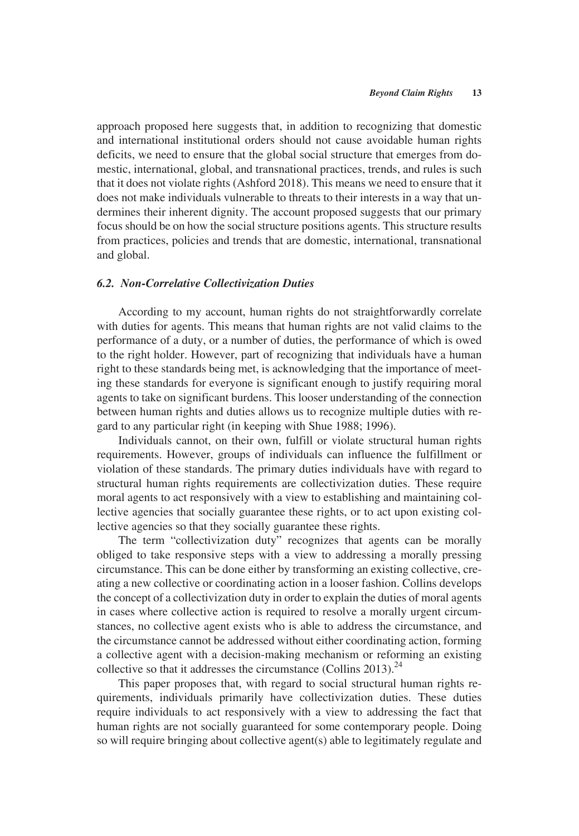approach proposed here suggests that, in addition to recognizing that domestic and international institutional orders should not cause avoidable human rights deficits, we need to ensure that the global social structure that emerges from domestic, international, global, and transnational practices, trends, and rules is such that it does not violate rights (Ashford 2018). This means we need to ensure that it does not make individuals vulnerable to threats to their interests in a way that undermines their inherent dignity. The account proposed suggests that our primary focus should be on how the social structure positions agents. This structure results from practices, policies and trends that are domestic, international, transnational and global.

### *6.2. Non-Correlative Collectivization Duties*

According to my account, human rights do not straightforwardly correlate with duties for agents. This means that human rights are not valid claims to the performance of a duty, or a number of duties, the performance of which is owed to the right holder. However, part of recognizing that individuals have a human right to these standards being met, is acknowledging that the importance of meeting these standards for everyone is significant enough to justify requiring moral agents to take on significant burdens. This looser understanding of the connection between human rights and duties allows us to recognize multiple duties with regard to any particular right (in keeping with Shue 1988; 1996).

Individuals cannot, on their own, fulfill or violate structural human rights requirements. However, groups of individuals can influence the fulfillment or violation of these standards. The primary duties individuals have with regard to structural human rights requirements are collectivization duties. These require moral agents to act responsively with a view to establishing and maintaining collective agencies that socially guarantee these rights, or to act upon existing collective agencies so that they socially guarantee these rights.

The term "collectivization duty" recognizes that agents can be morally obliged to take responsive steps with a view to addressing a morally pressing circumstance. This can be done either by transforming an existing collective, creating a new collective or coordinating action in a looser fashion. Collins develops the concept of a collectivization duty in order to explain the duties of moral agents in cases where collective action is required to resolve a morally urgent circumstances, no collective agent exists who is able to address the circumstance, and the circumstance cannot be addressed without either coordinating action, forming a collective agent with a decision-making mechanism or reforming an existing collective so that it addresses the circumstance (Collins 2013).<sup>24</sup>

This paper proposes that, with regard to social structural human rights requirements, individuals primarily have collectivization duties. These duties require individuals to act responsively with a view to addressing the fact that human rights are not socially guaranteed for some contemporary people. Doing so will require bringing about collective agent(s) able to legitimately regulate and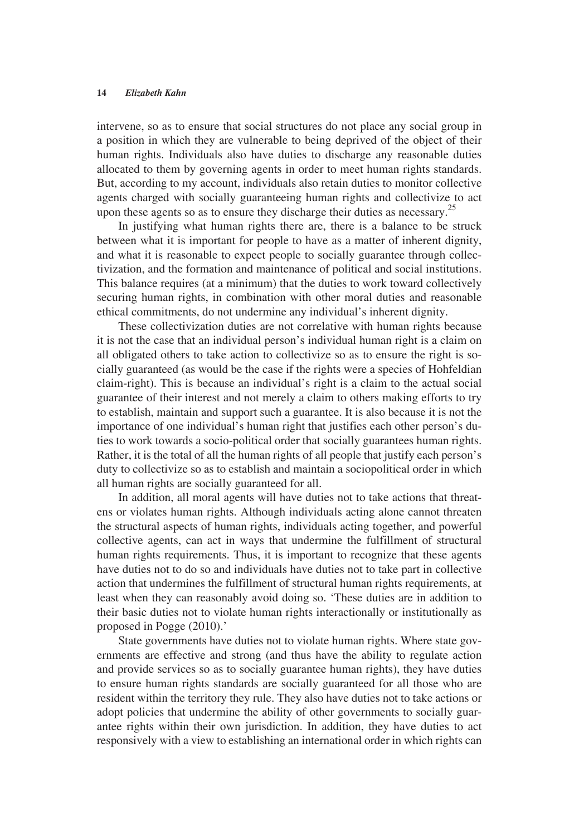intervene, so as to ensure that social structures do not place any social group in a position in which they are vulnerable to being deprived of the object of their human rights. Individuals also have duties to discharge any reasonable duties allocated to them by governing agents in order to meet human rights standards. But, according to my account, individuals also retain duties to monitor collective agents charged with socially guaranteeing human rights and collectivize to act upon these agents so as to ensure they discharge their duties as necessary.<sup>25</sup>

In justifying what human rights there are, there is a balance to be struck between what it is important for people to have as a matter of inherent dignity, and what it is reasonable to expect people to socially guarantee through collectivization, and the formation and maintenance of political and social institutions. This balance requires (at a minimum) that the duties to work toward collectively securing human rights, in combination with other moral duties and reasonable ethical commitments, do not undermine any individual's inherent dignity.

These collectivization duties are not correlative with human rights because it is not the case that an individual person's individual human right is a claim on all obligated others to take action to collectivize so as to ensure the right is socially guaranteed (as would be the case if the rights were a species of Hohfeldian claim-right). This is because an individual's right is a claim to the actual social guarantee of their interest and not merely a claim to others making efforts to try to establish, maintain and support such a guarantee. It is also because it is not the importance of one individual's human right that justifies each other person's duties to work towards a socio-political order that socially guarantees human rights. Rather, it is the total of all the human rights of all people that justify each person's duty to collectivize so as to establish and maintain a sociopolitical order in which all human rights are socially guaranteed for all.

In addition, all moral agents will have duties not to take actions that threatens or violates human rights. Although individuals acting alone cannot threaten the structural aspects of human rights, individuals acting together, and powerful collective agents, can act in ways that undermine the fulfillment of structural human rights requirements. Thus, it is important to recognize that these agents have duties not to do so and individuals have duties not to take part in collective action that undermines the fulfillment of structural human rights requirements, at least when they can reasonably avoid doing so. 'These duties are in addition to their basic duties not to violate human rights interactionally or institutionally as proposed in Pogge (2010).'

State governments have duties not to violate human rights. Where state governments are effective and strong (and thus have the ability to regulate action and provide services so as to socially guarantee human rights), they have duties to ensure human rights standards are socially guaranteed for all those who are resident within the territory they rule. They also have duties not to take actions or adopt policies that undermine the ability of other governments to socially guarantee rights within their own jurisdiction. In addition, they have duties to act responsively with a view to establishing an international order in which rights can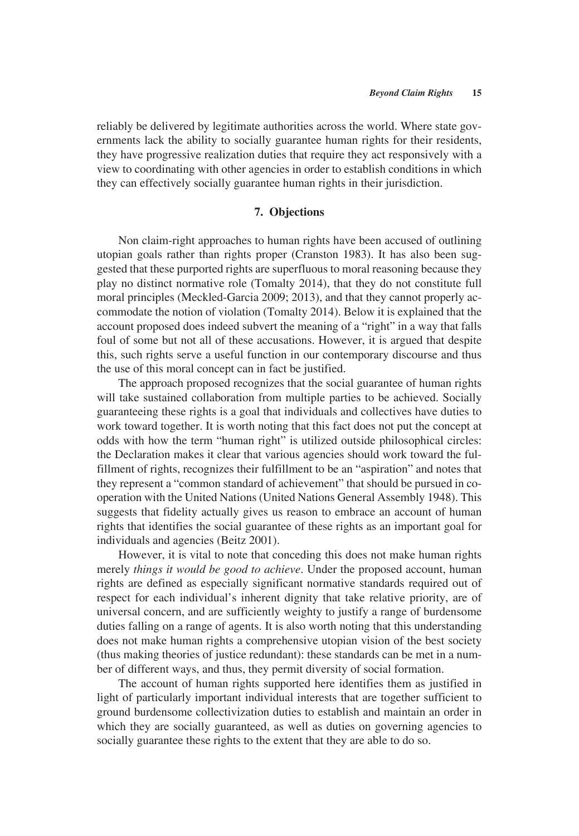reliably be delivered by legitimate authorities across the world. Where state governments lack the ability to socially guarantee human rights for their residents, they have progressive realization duties that require they act responsively with a view to coordinating with other agencies in order to establish conditions in which they can effectively socially guarantee human rights in their jurisdiction.

## **7. Objections**

Non claim-right approaches to human rights have been accused of outlining utopian goals rather than rights proper (Cranston 1983). It has also been suggested that these purported rights are superfluous to moral reasoning because they play no distinct normative role (Tomalty 2014), that they do not constitute full moral principles (Meckled-Garcia 2009; 2013), and that they cannot properly accommodate the notion of violation (Tomalty 2014). Below it is explained that the account proposed does indeed subvert the meaning of a "right" in a way that falls foul of some but not all of these accusations. However, it is argued that despite this, such rights serve a useful function in our contemporary discourse and thus the use of this moral concept can in fact be justified.

The approach proposed recognizes that the social guarantee of human rights will take sustained collaboration from multiple parties to be achieved. Socially guaranteeing these rights is a goal that individuals and collectives have duties to work toward together. It is worth noting that this fact does not put the concept at odds with how the term "human right" is utilized outside philosophical circles: the Declaration makes it clear that various agencies should work toward the fulfillment of rights, recognizes their fulfillment to be an "aspiration" and notes that they represent a "common standard of achievement" that should be pursued in cooperation with the United Nations (United Nations General Assembly 1948). This suggests that fidelity actually gives us reason to embrace an account of human rights that identifies the social guarantee of these rights as an important goal for individuals and agencies (Beitz 2001).

However, it is vital to note that conceding this does not make human rights merely *things it would be good to achieve*. Under the proposed account, human rights are defined as especially significant normative standards required out of respect for each individual's inherent dignity that take relative priority, are of universal concern, and are sufficiently weighty to justify a range of burdensome duties falling on a range of agents. It is also worth noting that this understanding does not make human rights a comprehensive utopian vision of the best society (thus making theories of justice redundant): these standards can be met in a number of different ways, and thus, they permit diversity of social formation.

The account of human rights supported here identifies them as justified in light of particularly important individual interests that are together sufficient to ground burdensome collectivization duties to establish and maintain an order in which they are socially guaranteed, as well as duties on governing agencies to socially guarantee these rights to the extent that they are able to do so.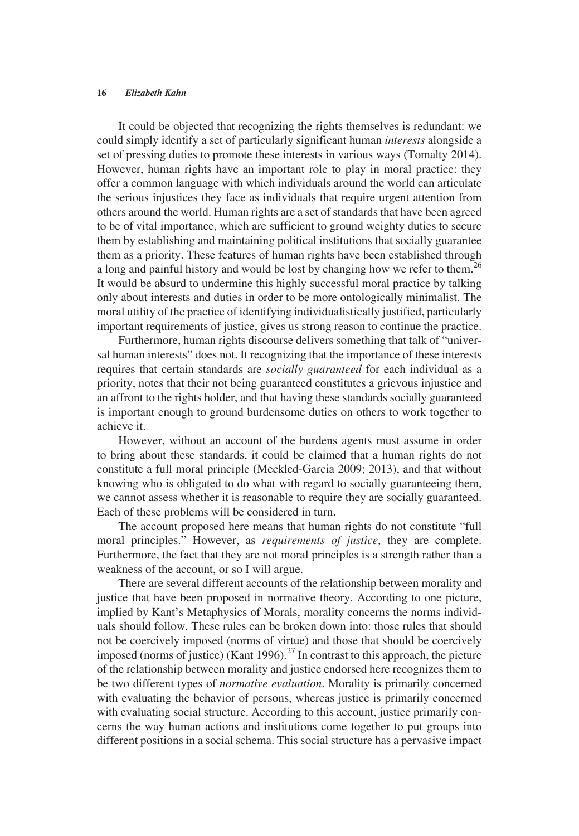It could be objected that recognizing the rights themselves is redundant: we could simply identify a set of particularly significant human *interests* alongside a set of pressing duties to promote these interests in various ways (Tomalty 2014). However, human rights have an important role to play in moral practice: they offer a common language with which individuals around the world can articulate the serious injustices they face as individuals that require urgent attention from others around the world. Human rights are a set of standards that have been agreed to be of vital importance, which are sufficient to ground weighty duties to secure them by establishing and maintaining political institutions that socially guarantee them as a priority. These features of human rights have been established through a long and painful history and would be lost by changing how we refer to them.<sup>26</sup> It would be absurd to undermine this highly successful moral practice by talking only about interests and duties in order to be more ontologically minimalist. The moral utility of the practice of identifying individualistically justified, particularly important requirements of justice, gives us strong reason to continue the practice.

Furthermore, human rights discourse delivers something that talk of "universal human interests" does not. It recognizing that the importance of these interests requires that certain standards are *socially guaranteed* for each individual as a priority, notes that their not being guaranteed constitutes a grievous injustice and an affront to the rights holder, and that having these standards socially guaranteed is important enough to ground burdensome duties on others to work together to achieve it.

However, without an account of the burdens agents must assume in order to bring about these standards, it could be claimed that a human rights do not constitute a full moral principle (Meckled-Garcia 2009; 2013), and that without knowing who is obligated to do what with regard to socially guaranteeing them, we cannot assess whether it is reasonable to require they are socially guaranteed. Each of these problems will be considered in turn.

The account proposed here means that human rights do not constitute "full moral principles." However, as *requirements of justice*, they are complete. Furthermore, the fact that they are not moral principles is a strength rather than a weakness of the account, or so I will argue.

There are several different accounts of the relationship between morality and justice that have been proposed in normative theory. According to one picture, implied by Kant's Metaphysics of Morals, morality concerns the norms individuals should follow. These rules can be broken down into: those rules that should not be coercively imposed (norms of virtue) and those that should be coercively imposed (norms of justice) (Kant 1996).<sup>27</sup> In contrast to this approach, the picture of the relationship between morality and justice endorsed here recognizes them to be two different types of *normative evaluation*. Morality is primarily concerned with evaluating the behavior of persons, whereas justice is primarily concerned with evaluating social structure. According to this account, justice primarily concerns the way human actions and institutions come together to put groups into different positions in a social schema. This social structure has a pervasive impact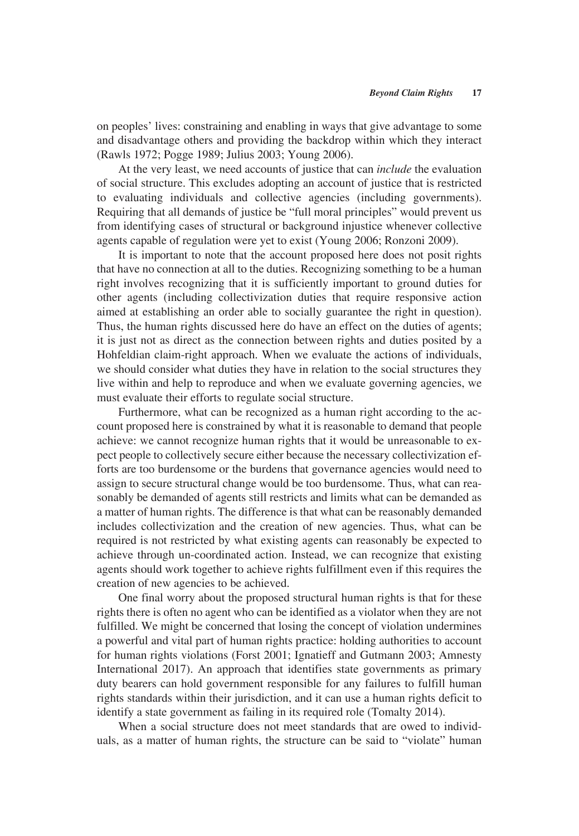on peoples' lives: constraining and enabling in ways that give advantage to some and disadvantage others and providing the backdrop within which they interact (Rawls 1972; Pogge 1989; Julius 2003; Young 2006).

At the very least, we need accounts of justice that can *include* the evaluation of social structure. This excludes adopting an account of justice that is restricted to evaluating individuals and collective agencies (including governments). Requiring that all demands of justice be "full moral principles" would prevent us from identifying cases of structural or background injustice whenever collective agents capable of regulation were yet to exist (Young 2006; Ronzoni 2009).

It is important to note that the account proposed here does not posit rights that have no connection at all to the duties. Recognizing something to be a human right involves recognizing that it is sufficiently important to ground duties for other agents (including collectivization duties that require responsive action aimed at establishing an order able to socially guarantee the right in question). Thus, the human rights discussed here do have an effect on the duties of agents; it is just not as direct as the connection between rights and duties posited by a Hohfeldian claim-right approach. When we evaluate the actions of individuals, we should consider what duties they have in relation to the social structures they live within and help to reproduce and when we evaluate governing agencies, we must evaluate their efforts to regulate social structure.

Furthermore, what can be recognized as a human right according to the account proposed here is constrained by what it is reasonable to demand that people achieve: we cannot recognize human rights that it would be unreasonable to expect people to collectively secure either because the necessary collectivization efforts are too burdensome or the burdens that governance agencies would need to assign to secure structural change would be too burdensome. Thus, what can reasonably be demanded of agents still restricts and limits what can be demanded as a matter of human rights. The difference is that what can be reasonably demanded includes collectivization and the creation of new agencies. Thus, what can be required is not restricted by what existing agents can reasonably be expected to achieve through un-coordinated action. Instead, we can recognize that existing agents should work together to achieve rights fulfillment even if this requires the creation of new agencies to be achieved.

One final worry about the proposed structural human rights is that for these rights there is often no agent who can be identified as a violator when they are not fulfilled. We might be concerned that losing the concept of violation undermines a powerful and vital part of human rights practice: holding authorities to account for human rights violations (Forst 2001; Ignatieff and Gutmann 2003; Amnesty International 2017). An approach that identifies state governments as primary duty bearers can hold government responsible for any failures to fulfill human rights standards within their jurisdiction, and it can use a human rights deficit to identify a state government as failing in its required role (Tomalty 2014).

When a social structure does not meet standards that are owed to individuals, as a matter of human rights, the structure can be said to "violate" human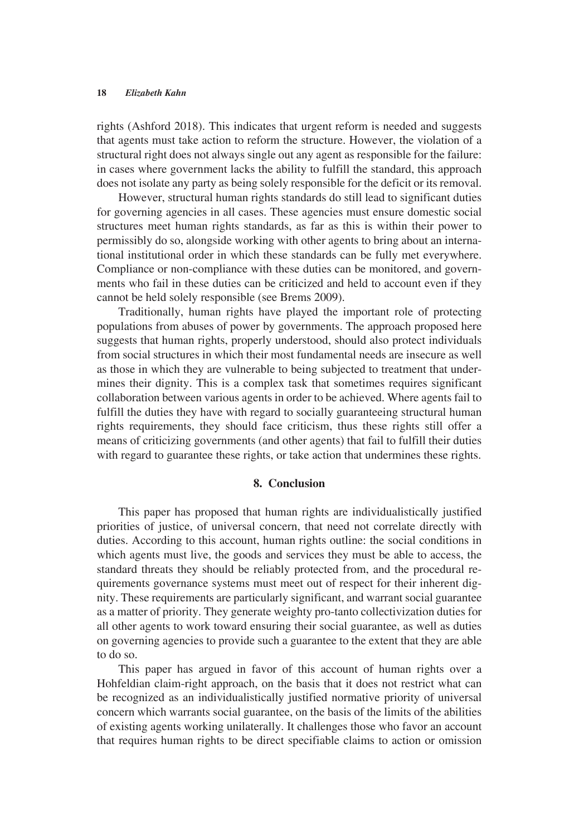rights (Ashford 2018). This indicates that urgent reform is needed and suggests that agents must take action to reform the structure. However, the violation of a structural right does not always single out any agent as responsible for the failure: in cases where government lacks the ability to fulfill the standard, this approach does not isolate any party as being solely responsible for the deficit or its removal.

However, structural human rights standards do still lead to significant duties for governing agencies in all cases. These agencies must ensure domestic social structures meet human rights standards, as far as this is within their power to permissibly do so, alongside working with other agents to bring about an international institutional order in which these standards can be fully met everywhere. Compliance or non-compliance with these duties can be monitored, and governments who fail in these duties can be criticized and held to account even if they cannot be held solely responsible (see Brems 2009).

Traditionally, human rights have played the important role of protecting populations from abuses of power by governments. The approach proposed here suggests that human rights, properly understood, should also protect individuals from social structures in which their most fundamental needs are insecure as well as those in which they are vulnerable to being subjected to treatment that undermines their dignity. This is a complex task that sometimes requires significant collaboration between various agents in order to be achieved. Where agents fail to fulfill the duties they have with regard to socially guaranteeing structural human rights requirements, they should face criticism, thus these rights still offer a means of criticizing governments (and other agents) that fail to fulfill their duties with regard to guarantee these rights, or take action that undermines these rights.

#### **8. Conclusion**

This paper has proposed that human rights are individualistically justified priorities of justice, of universal concern, that need not correlate directly with duties. According to this account, human rights outline: the social conditions in which agents must live, the goods and services they must be able to access, the standard threats they should be reliably protected from, and the procedural requirements governance systems must meet out of respect for their inherent dignity. These requirements are particularly significant, and warrant social guarantee as a matter of priority. They generate weighty pro-tanto collectivization duties for all other agents to work toward ensuring their social guarantee, as well as duties on governing agencies to provide such a guarantee to the extent that they are able to do so.

This paper has argued in favor of this account of human rights over a Hohfeldian claim-right approach, on the basis that it does not restrict what can be recognized as an individualistically justified normative priority of universal concern which warrants social guarantee, on the basis of the limits of the abilities of existing agents working unilaterally. It challenges those who favor an account that requires human rights to be direct specifiable claims to action or omission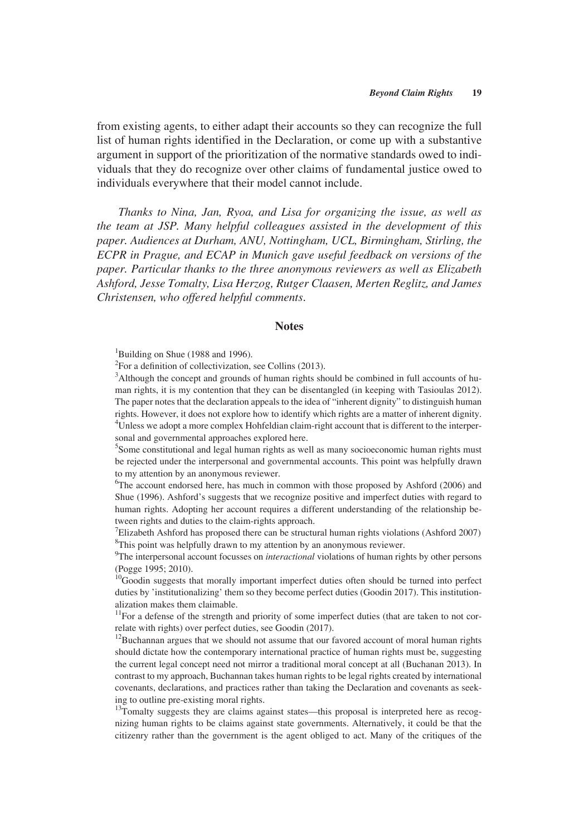from existing agents, to either adapt their accounts so they can recognize the full list of human rights identified in the Declaration, or come up with a substantive argument in support of the prioritization of the normative standards owed to individuals that they do recognize over other claims of fundamental justice owed to individuals everywhere that their model cannot include.

*Thanks to Nina, Jan, Ryoa, and Lisa for organizing the issue, as well as the team at JSP. Many helpful colleagues assisted in the development of this paper. Audiences at Durham, ANU, Nottingham, UCL, Birmingham, Stirling, the ECPR in Prague, and ECAP in Munich gave useful feedback on versions of the paper. Particular thanks to the three anonymous reviewers as well as Elizabeth Ashford, Jesse Tomalty, Lisa Herzog, Rutger Claasen, Merten Reglitz, and James Christensen, who offered helpful comments*.

#### **Notes**

<sup>1</sup>Building on Shue (1988 and 1996).

<sup>2</sup>For a definition of collectivization, see Collins (2013).

<sup>3</sup>Although the concept and grounds of human rights should be combined in full accounts of human rights, it is my contention that they can be disentangled (in keeping with Tasioulas 2012). The paper notes that the declaration appeals to the idea of "inherent dignity" to distinguish human rights. However, it does not explore how to identify which rights are a matter of inherent dignity. <sup>4</sup>Unless we adopt a more complex Hohfeldian claim-right account that is different to the interpersonal and governmental approaches explored here.

<sup>5</sup>Some constitutional and legal human rights as well as many socioeconomic human rights must be rejected under the interpersonal and governmental accounts. This point was helpfully drawn to my attention by an anonymous reviewer.

<sup>6</sup>The account endorsed here, has much in common with those proposed by Ashford (2006) and Shue (1996). Ashford's suggests that we recognize positive and imperfect duties with regard to human rights. Adopting her account requires a different understanding of the relationship between rights and duties to the claim-rights approach.

<sup>7</sup>Elizabeth Ashford has proposed there can be structural human rights violations (Ashford 2007) <sup>8</sup>This point was helpfully drawn to my attention by an anonymous reviewer.

<sup>9</sup>The interpersonal account focusses on *interactional* violations of human rights by other persons (Pogge 1995; 2010).

<sup>10</sup>Goodin suggests that morally important imperfect duties often should be turned into perfect duties by 'institutionalizing' them so they become perfect duties (Goodin 2017). This institutionalization makes them claimable.

<sup>11</sup>For a defense of the strength and priority of some imperfect duties (that are taken to not correlate with rights) over perfect duties, see Goodin (2017).

<sup>12</sup>Buchannan argues that we should not assume that our favored account of moral human rights should dictate how the contemporary international practice of human rights must be, suggesting the current legal concept need not mirror a traditional moral concept at all (Buchanan 2013). In contrast to my approach, Buchannan takes human rights to be legal rights created by international covenants, declarations, and practices rather than taking the Declaration and covenants as seeking to outline pre-existing moral rights.

<sup>13</sup>Tomalty suggests they are claims against states—this proposal is interpreted here as recognizing human rights to be claims against state governments. Alternatively, it could be that the citizenry rather than the government is the agent obliged to act. Many of the critiques of the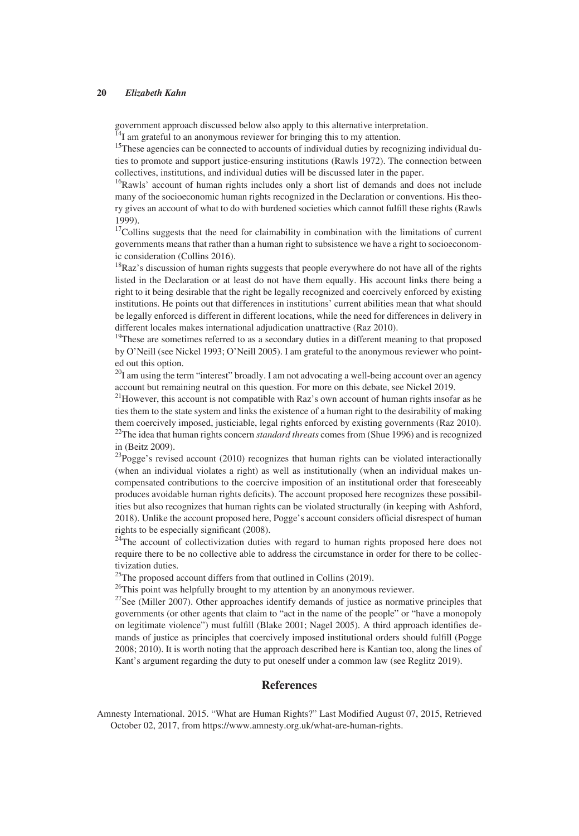government approach discussed below also apply to this alternative interpretation.

 $\overline{1}^{4}I$  am grateful to an anonymous reviewer for bringing this to my attention.

<sup>15</sup>These agencies can be connected to accounts of individual duties by recognizing individual duties to promote and support justice-ensuring institutions (Rawls 1972). The connection between collectives, institutions, and individual duties will be discussed later in the paper.

<sup>16</sup>Rawls' account of human rights includes only a short list of demands and does not include many of the socioeconomic human rights recognized in the Declaration or conventions. His theory gives an account of what to do with burdened societies which cannot fulfill these rights (Rawls 1999).

<sup>17</sup>Collins suggests that the need for claimability in combination with the limitations of current governments means that rather than a human right to subsistence we have a right to socioeconomic consideration (Collins 2016).

<sup>18</sup>Raz's discussion of human rights suggests that people everywhere do not have all of the rights listed in the Declaration or at least do not have them equally. His account links there being a right to it being desirable that the right be legally recognized and coercively enforced by existing institutions. He points out that differences in institutions' current abilities mean that what should be legally enforced is different in different locations, while the need for differences in delivery in different locales makes international adjudication unattractive (Raz 2010).

<sup>19</sup>These are sometimes referred to as a secondary duties in a different meaning to that proposed by O'Neill (see Nickel 1993; O'Neill 2005). I am grateful to the anonymous reviewer who pointed out this option.

 $20I$  am using the term "interest" broadly. I am not advocating a well-being account over an agency account but remaining neutral on this question. For more on this debate, see Nickel 2019.

<sup>21</sup>However, this account is not compatible with Raz's own account of human rights insofar as he ties them to the state system and links the existence of a human right to the desirability of making them coercively imposed, justiciable, legal rights enforced by existing governments (Raz 2010). 22The idea that human rights concern *standard threats* comes from (Shue 1996) and is recognized in (Beitz 2009).

 $^{23}$ Pogge's revised account (2010) recognizes that human rights can be violated interactionally (when an individual violates a right) as well as institutionally (when an individual makes uncompensated contributions to the coercive imposition of an institutional order that foreseeably produces avoidable human rights deficits). The account proposed here recognizes these possibilities but also recognizes that human rights can be violated structurally (in keeping with Ashford, 2018). Unlike the account proposed here, Pogge's account considers official disrespect of human rights to be especially significant (2008).

 $24$ The account of collectivization duties with regard to human rights proposed here does not require there to be no collective able to address the circumstance in order for there to be collectivization duties.

 $^{25}$ The proposed account differs from that outlined in Collins (2019).

<sup>26</sup>This point was helpfully brought to my attention by an anonymous reviewer.

 $27$ See (Miller 2007). Other approaches identify demands of justice as normative principles that governments (or other agents that claim to "act in the name of the people" or "have a monopoly on legitimate violence") must fulfill (Blake 2001; Nagel 2005). A third approach identifies demands of justice as principles that coercively imposed institutional orders should fulfill (Pogge 2008; 2010). It is worth noting that the approach described here is Kantian too, along the lines of Kant's argument regarding the duty to put oneself under a common law (see Reglitz 2019).

### **References**

Amnesty International. 2015. "What are Human Rights?" Last Modified August 07, 2015, Retrieved October 02, 2017, from [https://www.amnesty.org.uk/what-are-human-rights.](https://www.amnesty.org.uk/what-are-human-rights)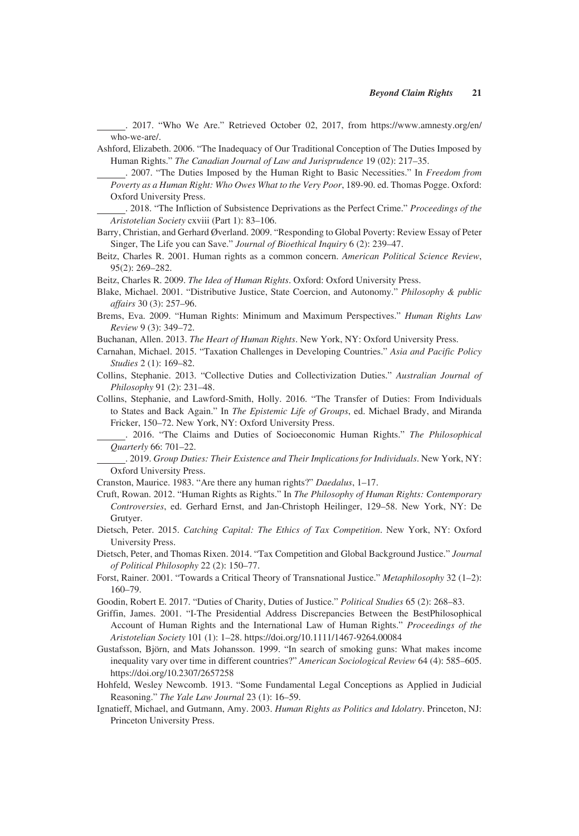. 2017. "Who We Are." Retrieved October 02, 2017, from [https://www.amnesty.org/en/](https://www.amnesty.org/en/who-we-are/) [who-we-are/](https://www.amnesty.org/en/who-we-are/).

- Ashford, Elizabeth. 2006. "The Inadequacy of Our Traditional Conception of The Duties Imposed by Human Rights." *The Canadian Journal of Law and Jurisprudence* 19 (02): 217–35.
	- . 2007. "The Duties Imposed by the Human Right to Basic Necessities." In *Freedom from Poverty as a Human Right: Who Owes What to the Very Poor*, 189-90. ed. Thomas Pogge. Oxford: Oxford University Press.
- . 2018. "The Infliction of Subsistence Deprivations as the Perfect Crime." *Proceedings of the Aristotelian Society* cxviii (Part 1): 83–106.
- Barry, Christian, and Gerhard Øverland. 2009. "Responding to Global Poverty: Review Essay of Peter Singer, The Life you can Save." *Journal of Bioethical Inquiry* 6 (2): 239–47.
- Beitz, Charles R. 2001. Human rights as a common concern. *American Political Science Review*, 95(2): 269–282.
- Beitz, Charles R. 2009. *The Idea of Human Rights*. Oxford: Oxford University Press.
- Blake, Michael. 2001. "Distributive Justice, State Coercion, and Autonomy." *Philosophy & public affairs* 30 (3): 257–96.
- Brems, Eva. 2009. "Human Rights: Minimum and Maximum Perspectives." *Human Rights Law Review* 9 (3): 349–72.
- Buchanan, Allen. 2013. *The Heart of Human Rights*. New York, NY: Oxford University Press.
- Carnahan, Michael. 2015. "Taxation Challenges in Developing Countries." *Asia and Pacific Policy Studies* 2 (1): 169–82.
- Collins, Stephanie. 2013. "Collective Duties and Collectivization Duties." *Australian Journal of Philosophy* 91 (2): 231–48.
- Collins, Stephanie, and Lawford-Smith, Holly. 2016. "The Transfer of Duties: From Individuals to States and Back Again." In *The Epistemic Life of Groups*, ed. Michael Brady, and Miranda Fricker, 150–72. New York, NY: Oxford University Press.
	- . 2016. "The Claims and Duties of Socioeconomic Human Rights." *The Philosophical Quarterly* 66: 701–22.
	- . 2019. *Group Duties: Their Existence and Their Implications for Individuals*. New York, NY: Oxford University Press.
- Cranston, Maurice. 1983. "Are there any human rights?" *Daedalus*, 1–17.
- Cruft, Rowan. 2012. "Human Rights as Rights." In *The Philosophy of Human Rights: Contemporary Controversies*, ed. Gerhard Ernst, and Jan-Christoph Heilinger, 129–58. New York, NY: De Grutyer.
- Dietsch, Peter. 2015. *Catching Capital: The Ethics of Tax Competition*. New York, NY: Oxford University Press.
- Dietsch, Peter, and Thomas Rixen. 2014. "Tax Competition and Global Background Justice." *Journal of Political Philosophy* 22 (2): 150–77.
- Forst, Rainer. 2001. "Towards a Critical Theory of Transnational Justice." *Metaphilosophy* 32 (1–2): 160–79.
- Goodin, Robert E. 2017. "Duties of Charity, Duties of Justice." *Political Studies* 65 (2): 268–83.
- Griffin, James. 2001. "I-The Presidential Address Discrepancies Between the BestPhilosophical Account of Human Rights and the International Law of Human Rights." *Proceedings of the Aristotelian Society* 101 (1): 1–28.<https://doi.org/10.1111/1467-9264.00084>
- Gustafsson, Björn, and Mats Johansson. 1999. "In search of smoking guns: What makes income inequality vary over time in different countries?" *American Sociological Review* 64 (4): 585–605. <https://doi.org/10.2307/2657258>
- Hohfeld, Wesley Newcomb. 1913. "Some Fundamental Legal Conceptions as Applied in Judicial Reasoning." *The Yale Law Journal* 23 (1): 16–59.
- Ignatieff, Michael, and Gutmann, Amy. 2003. *Human Rights as Politics and Idolatry*. Princeton, NJ: Princeton University Press.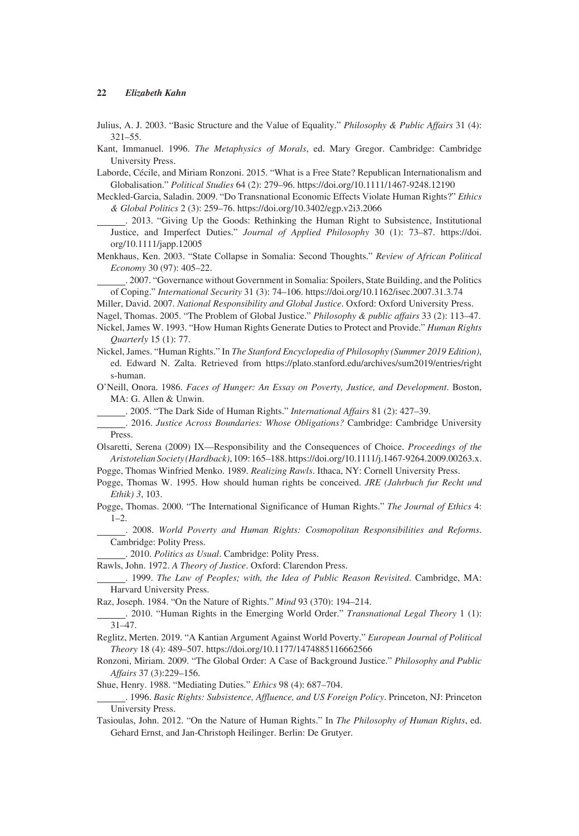Julius, A. J. 2003. "Basic Structure and the Value of Equality." *Philosophy & Public Affairs* 31 (4): 321–55.

Kant, Immanuel. 1996. *The Metaphysics of Morals*, ed. Mary Gregor. Cambridge: Cambridge University Press.

Laborde, Cécile, and Miriam Ronzoni. 2015. "What is a Free State? Republican Internationalism and Globalisation." *Political Studies* 64 (2): 279–96. <https://doi.org/10.1111/1467-9248.12190>

Meckled-Garcia, Saladin. 2009. "Do Transnational Economic Effects Violate Human Rights?" *Ethics & Global Politics* 2 (3): 259–76.<https://doi.org/10.3402/egp.v2i3.2066>

 . 2013. "Giving Up the Goods: Rethinking the Human Right to Subsistence, Institutional Justice, and Imperfect Duties." *Journal of Applied Philosophy* 30 (1): 73–87. [https://doi.](https://doi.org/10.1111/japp.12005) [org/10.1111/japp.12005](https://doi.org/10.1111/japp.12005)

Menkhaus, Ken. 2003. "State Collapse in Somalia: Second Thoughts." *Review of African Political Economy* 30 (97): 405–22.

 . 2007. "Governance without Government in Somalia: Spoilers, State Building, and the Politics of Coping." *International Security* 31 (3): 74–106. <https://doi.org/10.1162/isec.2007.31.3.74>

Miller, David. 2007. *National Responsibility and Global Justice*. Oxford: Oxford University Press.

Nagel, Thomas. 2005. "The Problem of Global Justice." *Philosophy & public affairs* 33 (2): 113–47.

Nickel, James W. 1993. "How Human Rights Generate Duties to Protect and Provide." *Human Rights Quarterly* 15 (1): 77.

Nickel, James. "Human Rights." In *The Stanford Encyclopedia of Philosophy (Summer 2019 Edition)*, ed. Edward N. Zalta. Retrieved from [https://plato.stanford.edu/archives/sum2019/entries/right](https://plato.stanford.edu/archives/sum2019/entries/rights-human) [s-human](https://plato.stanford.edu/archives/sum2019/entries/rights-human).

O'Neill, Onora. 1986. *Faces of Hunger: An Essay on Poverty, Justice, and Development*. Boston, MA: G. Allen & Unwin.

. 2005. "The Dark Side of Human Rights." *International Affairs* 81 (2): 427–39.

 . 2016. *Justice Across Boundaries: Whose Obligations?* Cambridge: Cambridge University Press.

Olsaretti, Serena (2009) IX—Responsibility and the Consequences of Choice. *Proceedings of the Aristotelian Society (Hardback)*, 109: 165–188. [https://doi.org/10.1111/j.1467-9264.2009.00263.x.](https://doi.org/10.1111/j.1467-9264.2009.00263.x)

Pogge, Thomas Winfried Menko. 1989. *Realizing Rawls*. Ithaca, NY: Cornell University Press.

Pogge, Thomas W. 1995. How should human rights be conceived. *JRE (Jahrbuch fur Recht und Ethik) 3*, 103.

Pogge, Thomas. 2000. "The International Significance of Human Rights." *The Journal of Ethics* 4: 1–2.

 . 2008. *World Poverty and Human Rights: Cosmopolitan Responsibilities and Reforms*. Cambridge: Polity Press.

. 2010. *Politics as Usual*. Cambridge: Polity Press.

Rawls, John. 1972. *A Theory of Justice*. Oxford: Clarendon Press.

 . 1999. *The Law of Peoples; with, the Idea of Public Reason Revisited*. Cambridge, MA: Harvard University Press.

Raz, Joseph. 1984. "On the Nature of Rights." *Mind* 93 (370): 194–214.

 . 2010. "Human Rights in the Emerging World Order." *Transnational Legal Theory* 1 (1): 31–47.

Reglitz, Merten. 2019. "A Kantian Argument Against World Poverty." *European Journal of Political Theory* 18 (4): 489–507.<https://doi.org/10.1177/1474885116662566>

Ronzoni, Miriam. 2009. "The Global Order: A Case of Background Justice." *Philosophy and Public Affairs* 37 (3):229–156.

Shue, Henry. 1988. "Mediating Duties." *Ethics* 98 (4): 687–704.

 . 1996. *Basic Rights: Subsistence, Affluence, and US Foreign Policy*. Princeton, NJ: Princeton University Press.

Tasioulas, John. 2012. "On the Nature of Human Rights." In *The Philosophy of Human Rights*, ed. Gehard Ernst, and Jan-Christoph Heilinger. Berlin: De Grutyer.